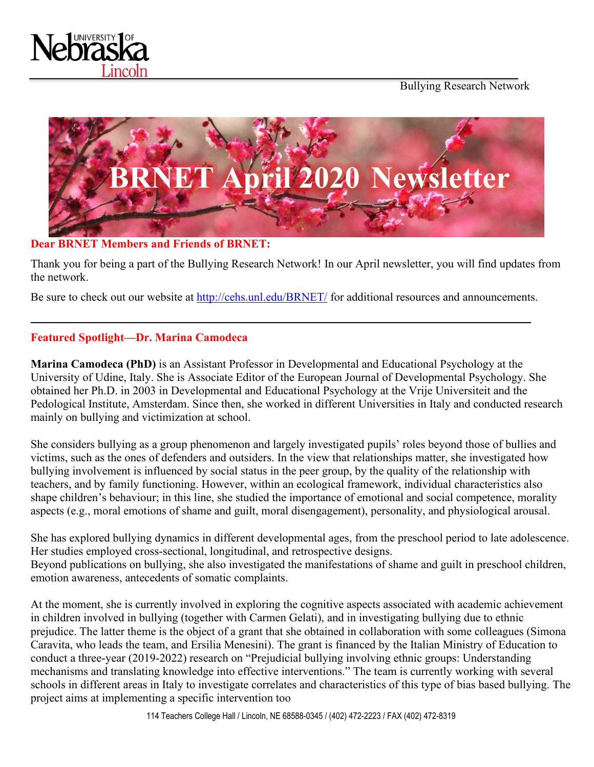



**Dear BRNET Members and Friends of BRNET:** 

Thank you for being a part of the Bullying Research Network! In our April newsletter, you will find updates from the network.

Be sure to check out our website at<http://cehs.unl.edu/BRNET/> for additional resources and announcements.

# **Featured Spotlight—Dr. Marina Camodeca**

**Marina Camodeca (PhD)** is an Assistant Professor in Developmental and Educational Psychology at the University of Udine, Italy. She is Associate Editor of the European Journal of Developmental Psychology. She obtained her Ph.D. in 2003 in Developmental and Educational Psychology at the Vrije Universiteit and the Pedological Institute, Amsterdam. Since then, she worked in different Universities in Italy and conducted research mainly on bullying and victimization at school.

She considers bullying as a group phenomenon and largely investigated pupils' roles beyond those of bullies and victims, such as the ones of defenders and outsiders. In the view that relationships matter, she investigated how bullying involvement is influenced by social status in the peer group, by the quality of the relationship with teachers, and by family functioning. However, within an ecological framework, individual characteristics also shape children's behaviour; in this line, she studied the importance of emotional and social competence, morality aspects (e.g., moral emotions of shame and guilt, moral disengagement), personality, and physiological arousal.

She has explored bullying dynamics in different developmental ages, from the preschool period to late adolescence. Her studies employed cross-sectional, longitudinal, and retrospective designs. Beyond publications on bullying, she also investigated the manifestations of shame and guilt in preschool children, emotion awareness, antecedents of somatic complaints.

At the moment, she is currently involved in exploring the cognitive aspects associated with academic achievement in children involved in bullying (together with Carmen Gelati), and in investigating bullying due to ethnic prejudice. The latter theme is the object of a grant that she obtained in collaboration with some colleagues (Simona Caravita, who leads the team, and Ersilia Menesini). The grant is financed by the Italian Ministry of Education to conduct a three-year (2019-2022) research on "Prejudicial bullying involving ethnic groups: Understanding mechanisms and translating knowledge into effective interventions." The team is currently working with several schools in different areas in Italy to investigate correlates and characteristics of this type of bias based bullying. The project aims at implementing a specific intervention too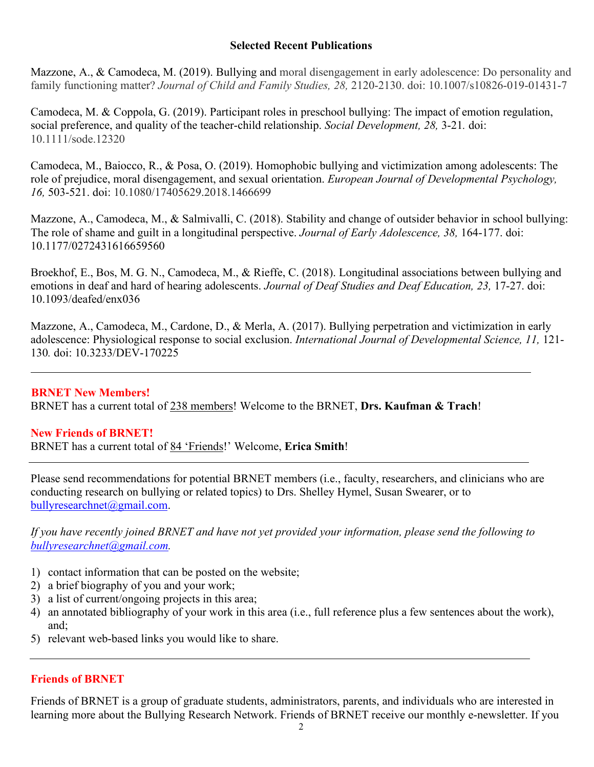# **Selected Recent Publications**

Mazzone, A., & Camodeca, M. (2019). Bullying and moral disengagement in early adolescence: Do personality and family functioning matter? *Journal of Child and Family Studies, 28,* 2120-2130. doi: 10.1007/s10826-019-01431-7

Camodeca, M. & Coppola, G. (2019). Participant roles in preschool bullying: The impact of emotion regulation, social preference, and quality of the teacher-child relationship. *Social Development, 28,* 3-21*.* doi: 10.1111/sode.12320

Camodeca, M., Baiocco, R., & Posa, O. (2019). Homophobic bullying and victimization among adolescents: The role of prejudice, moral disengagement, and sexual orientation. *European Journal of Developmental Psychology, 16,* 503-521. doi: 10.1080/17405629.2018.1466699

Mazzone, A., Camodeca, M., & Salmivalli, C. (2018). Stability and change of outsider behavior in school bullying: The role of shame and guilt in a longitudinal perspective. *Journal of Early Adolescence, 38,* 164-177. doi: 10.1177/0272431616659560

Broekhof, E., Bos, M. G. N., Camodeca, M., & Rieffe, C. (2018). Longitudinal associations between bullying and emotions in deaf and hard of hearing adolescents. *Journal of Deaf Studies and Deaf Education, 23,* 17-27. doi: 10.1093/deafed/enx036

Mazzone, A., Camodeca, M., Cardone, D., & Merla, A. (2017). Bullying perpetration and victimization in early adolescence: Physiological response to social exclusion. *International Journal of Developmental Science, 11,* 121- 130*.* doi: 10.3233/DEV-170225

**BRNET New Members!** BRNET has a current total of 238 members! Welcome to the BRNET, **Drs. Kaufman & Trach**!

#### **New Friends of BRNET!**

BRNET has a current total of 84 'Friends!' Welcome, **Erica Smith**!

Please send recommendations for potential BRNET members (i.e., faculty, researchers, and clinicians who are conducting research on bullying or related topics) to Drs. Shelley Hymel, Susan Swearer, or to [bullyresearchnet@gmail.com.](mailto:bullyresearchnet@gmail.com)

*If you have recently joined BRNET and have not yet provided your information, please send the following to [bullyresearchnet@gmail.com.](mailto:bullyresearchnet@gmail.com)*

- 1) contact information that can be posted on the website;
- 2) a brief biography of you and your work;
- 3) a list of current/ongoing projects in this area;
- 4) an annotated bibliography of your work in this area (i.e., full reference plus a few sentences about the work), and;
- 5) relevant web-based links you would like to share.

# **Friends of BRNET**

Friends of BRNET is a group of graduate students, administrators, parents, and individuals who are interested in learning more about the Bullying Research Network. Friends of BRNET receive our monthly e-newsletter. If you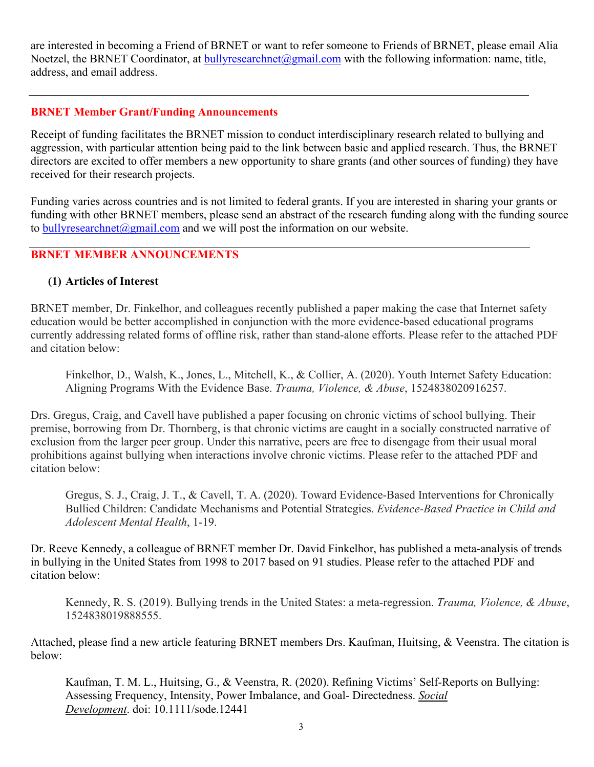are interested in becoming a Friend of BRNET or want to refer someone to Friends of BRNET, please email Alia Noetzel, the BRNET Coordinator, at **bullyresearchnet@gmail.com** with the following information: name, title, address, and email address.

#### **BRNET Member Grant/Funding Announcements**

Receipt of funding facilitates the BRNET mission to conduct interdisciplinary research related to bullying and aggression, with particular attention being paid to the link between basic and applied research. Thus, the BRNET directors are excited to offer members a new opportunity to share grants (and other sources of funding) they have received for their research projects.

Funding varies across countries and is not limited to federal grants. If you are interested in sharing your grants or funding with other BRNET members, please send an abstract of the research funding along with the funding source to [bullyresearchnet@gmail.com](mailto:bullyresearchnet@gmail.com) and we will post the information on our website.

# **BRNET MEMBER ANNOUNCEMENTS**

#### **(1) Articles of Interest**

BRNET member, Dr. Finkelhor, and colleagues recently published a paper making the case that Internet safety education would be better accomplished in conjunction with the more evidence-based educational programs currently addressing related forms of offline risk, rather than stand-alone efforts. Please refer to the attached PDF and citation below:

Finkelhor, D., Walsh, K., Jones, L., Mitchell, K., & Collier, A. (2020). Youth Internet Safety Education: Aligning Programs With the Evidence Base. *Trauma, Violence, & Abuse*, 1524838020916257.

Drs. Gregus, Craig, and Cavell have published a paper focusing on chronic victims of school bullying. Their premise, borrowing from Dr. Thornberg, is that chronic victims are caught in a socially constructed narrative of exclusion from the larger peer group. Under this narrative, peers are free to disengage from their usual moral prohibitions against bullying when interactions involve chronic victims. Please refer to the attached PDF and citation below:

Gregus, S. J., Craig, J. T., & Cavell, T. A. (2020). Toward Evidence-Based Interventions for Chronically Bullied Children: Candidate Mechanisms and Potential Strategies. *Evidence-Based Practice in Child and Adolescent Mental Health*, 1-19.

Dr. Reeve Kennedy, a colleague of BRNET member Dr. David Finkelhor, has published a meta-analysis of trends in bullying in the United States from 1998 to 2017 based on 91 studies. Please refer to the attached PDF and citation below:

Kennedy, R. S. (2019). Bullying trends in the United States: a meta-regression. *Trauma, Violence, & Abuse*, 1524838019888555.

Attached, please find a new article featuring BRNET members Drs. Kaufman, Huitsing, & Veenstra. The citation is below:

Kaufman, T. M. L., Huitsing, G., & Veenstra, R. (2020). Refining Victims' Self-Reports on Bullying: Assessing Frequency, Intensity, Power Imbalance, and Goal- Directedness. *Social Development*. doi: 10.1111/sode.12441